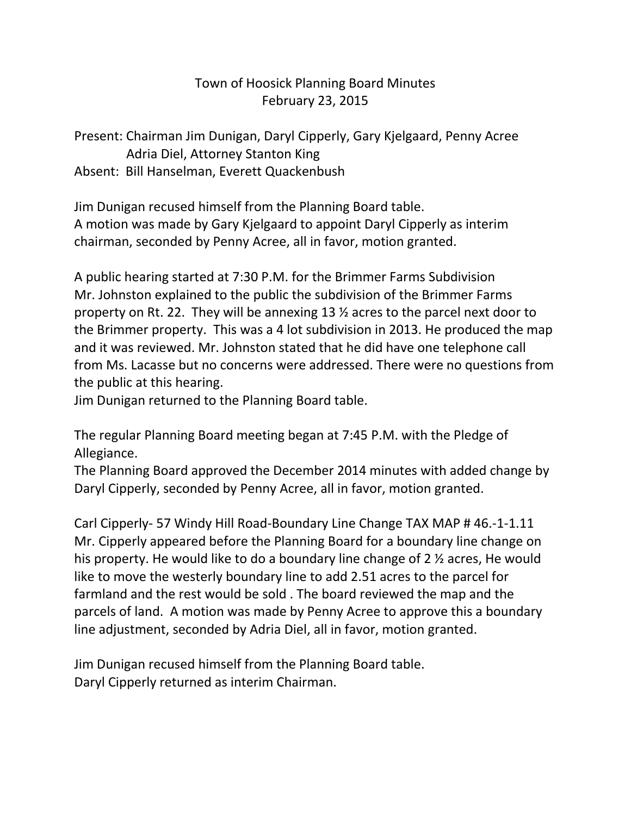## Town of Hoosick Planning Board Minutes February 23, 2015

Present: Chairman Jim Dunigan, Daryl Cipperly, Gary Kjelgaard, Penny Acree Adria Diel, Attorney Stanton King Absent: Bill Hanselman, Everett Quackenbush

Jim Dunigan recused himself from the Planning Board table. A motion was made by Gary Kjelgaard to appoint Daryl Cipperly as interim chairman, seconded by Penny Acree, all in favor, motion granted.

A public hearing started at 7:30 P.M. for the Brimmer Farms Subdivision Mr. Johnston explained to the public the subdivision of the Brimmer Farms property on Rt. 22. They will be annexing 13 ½ acres to the parcel next door to the Brimmer property. This was a 4 lot subdivision in 2013. He produced the map and it was reviewed. Mr. Johnston stated that he did have one telephone call from Ms. Lacasse but no concerns were addressed. There were no questions from the public at this hearing.

Jim Dunigan returned to the Planning Board table.

The regular Planning Board meeting began at 7:45 P.M. with the Pledge of Allegiance.

The Planning Board approved the December 2014 minutes with added change by Daryl Cipperly, seconded by Penny Acree, all in favor, motion granted.

Carl Cipperly- 57 Windy Hill Road-Boundary Line Change TAX MAP # 46.-1-1.11 Mr. Cipperly appeared before the Planning Board for a boundary line change on his property. He would like to do a boundary line change of 2 ½ acres, He would like to move the westerly boundary line to add 2.51 acres to the parcel for farmland and the rest would be sold . The board reviewed the map and the parcels of land. A motion was made by Penny Acree to approve this a boundary line adjustment, seconded by Adria Diel, all in favor, motion granted.

Jim Dunigan recused himself from the Planning Board table. Daryl Cipperly returned as interim Chairman.